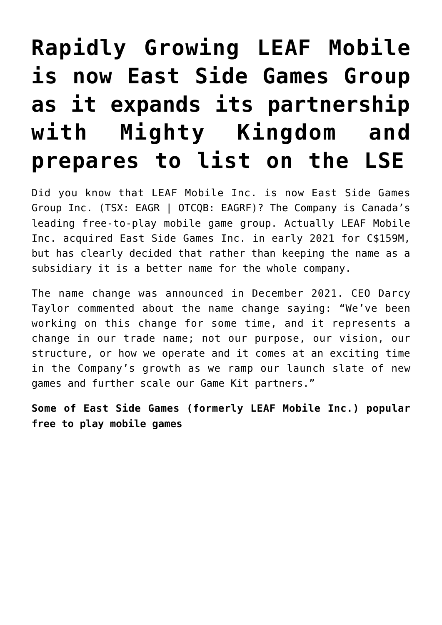# **[Rapidly Growing LEAF Mobile](https://investorintel.com/markets/esports-gaming/esports-gaming-intel/rapidly-growing-leaf-mobile-inc-is-now-east-side-games-group-as-it-expands-its-partnership-with-mighty-kingdom-and-prepares-to-list-on-the-lse/) [is now East Side Games Group](https://investorintel.com/markets/esports-gaming/esports-gaming-intel/rapidly-growing-leaf-mobile-inc-is-now-east-side-games-group-as-it-expands-its-partnership-with-mighty-kingdom-and-prepares-to-list-on-the-lse/) [as it expands its partnership](https://investorintel.com/markets/esports-gaming/esports-gaming-intel/rapidly-growing-leaf-mobile-inc-is-now-east-side-games-group-as-it-expands-its-partnership-with-mighty-kingdom-and-prepares-to-list-on-the-lse/) [with Mighty Kingdom and](https://investorintel.com/markets/esports-gaming/esports-gaming-intel/rapidly-growing-leaf-mobile-inc-is-now-east-side-games-group-as-it-expands-its-partnership-with-mighty-kingdom-and-prepares-to-list-on-the-lse/) [prepares to list on the LSE](https://investorintel.com/markets/esports-gaming/esports-gaming-intel/rapidly-growing-leaf-mobile-inc-is-now-east-side-games-group-as-it-expands-its-partnership-with-mighty-kingdom-and-prepares-to-list-on-the-lse/)**

Did you know that LEAF Mobile Inc. is now [East Side Games](https://eastsidegamesgroup.com/) [Group Inc.](https://eastsidegamesgroup.com/) (TSX: EAGR | OTCQB: EAGRF)? The Company is Canada's leading free-to-play mobile game group. Actually LEAF Mobile Inc. acquired East Side Games Inc. in early 2021 for [C\\$159M,](https://www.bloomberg.com/press-releases/2021-02-06/leaf-completes-159-million-acquisition-of-east-side-games-inc) but has clearly decided that rather than keeping the name as a subsidiary it is a better name for the whole company.

The name change was [announced](https://investorintel.com/markets/esports-gaming/esports-gaming-news/leaf-mobile-announces-name-change-to-east-side-games-group-and-provides-corporate-update/) in December 2021. CEO Darcy Taylor [commented](https://investorintel.com/markets/esports-gaming/esports-gaming-news/leaf-mobile-announces-name-change-to-east-side-games-group-and-provides-corporate-update/) about the name change saying: "We've been working on this change for some time, and it represents a change in our trade name; not our purpose, our vision, our structure, or how we operate and it comes at an exciting time in the Company's growth as we ramp our launch slate of new games and further scale our Game Kit partners."

**Some of East Side Games (formerly LEAF Mobile Inc.) popular free to play mobile games**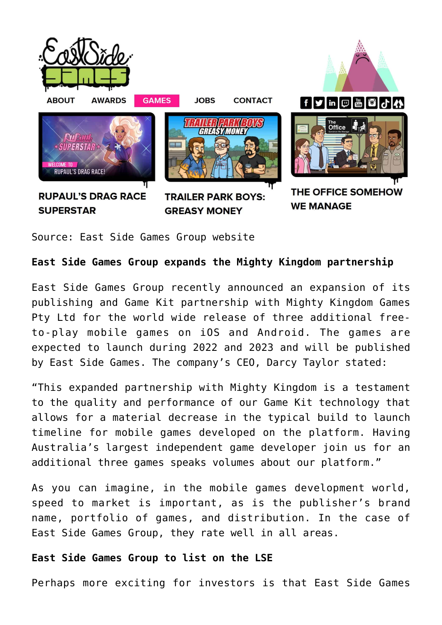

Source: [East Side Games Group website](https://www.eastsidegames.com/games/)

## **East Side Games Group expands the Mighty Kingdom partnership**

East Side Games Group recently [announced](https://investorintel.com/markets/esports-gaming/esports-gaming-news/east-side-games-group-announces-expansion-of-mighty-kingdom-partnership/) an expansion of its publishing and Game Kit partnership with Mighty Kingdom Games Pty Ltd for the world wide release of three additional freeto-play mobile games on iOS and Android. The games are expected to launch during 2022 and 2023 and will be published by East Side Games. The company's CEO, Darcy Taylor [stated:](https://investorintel.com/markets/esports-gaming/esports-gaming-news/east-side-games-group-announces-expansion-of-mighty-kingdom-partnership/)

"This expanded partnership with Mighty Kingdom is a testament to the quality and performance of our Game Kit technology that allows for a material decrease in the typical build to launch timeline for mobile games developed on the platform. Having Australia's largest independent game developer join us for an additional three games speaks volumes about our platform."

As you can imagine, in the mobile games development world, speed to market is important, as is the publisher's brand name, portfolio of games, and distribution. In the case of East Side Games Group, they rate well in all areas.

## **East Side Games Group to list on the LSE**

Perhaps more exciting for investors is that East Side Games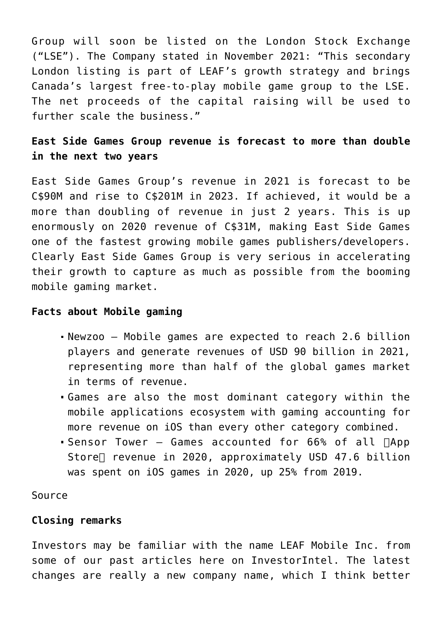Group will soon be listed on the London Stock Exchange ("LSE"). The Company [stated](https://investorintel.com/markets/esports-gaming/esports-gaming-news/leaf-announces-intention-to-float-on-the-main-market-of-the-london-stock-exchange/) in November 2021: "This secondary London listing is part of LEAF's growth strategy and brings Canada's largest free-to-play mobile game group to the LSE. The net proceeds of the capital raising will be used to further scale the business."

# **East Side Games Group revenue is forecast to more than double in the next two years**

East Side Games Group's revenue in 2021 is forecast to be [C\\$90M](https://www.marketscreener.com/quote/stock/LEAF-MOBILE-INC-61747232/financials/) and rise to C\$201M in 2023. If achieved, it would be a more than doubling of revenue in just 2 years. This is up enormously on 2020 revenue of C\$31M, making East Side Games one of the fastest growing mobile games publishers/developers. Clearly East Side Games Group is very serious in accelerating their growth to capture as much as possible from the booming mobile gaming market.

#### **Facts about Mobile gaming**

- Newzoo Mobile games are expected to reach 2.6 billion players and generate revenues of USD 90 billion in 2021, representing more than half of the global games market in terms of revenue.
- Games are also the most dominant category within the mobile applications ecosystem with gaming accounting for more revenue on iOS than every other category combined.
- Sensor Tower Games accounted for  $66\%$  of all  $\Box$ App Store<sup>[]</sup> revenue in 2020, approximately USD 47.6 billion was spent on iOS games in 2020, up 25% from 2019.

[Source](https://investorintel.com/markets/esports-gaming/esports-gaming-news/leaf-announces-intention-to-float-on-the-main-market-of-the-london-stock-exchange/)

### **Closing remarks**

Investors may be familiar with the name LEAF Mobile Inc. from some of our [past articles here](https://investorintel.com/iintel-members/leaf-mobile-inc/) on InvestorIntel. The latest changes are really a new company name, which I think better